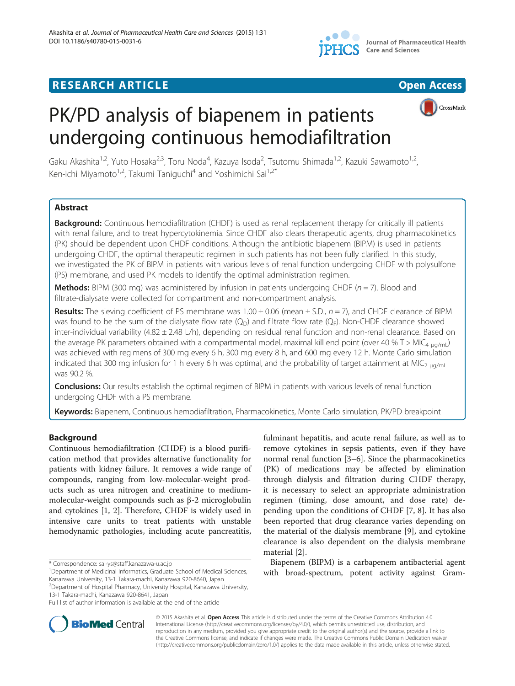

# **RESEARCH ARTICLE Example 2014 CONSIDERING CONSIDERING CONSIDERING CONSIDERING CONSIDERING CONSIDERING CONSIDERING CONSIDERING CONSIDERING CONSIDERING CONSIDERING CONSIDERING CONSIDERING CONSIDERING CONSIDERING CONSIDE**





Gaku Akashita<sup>1,2</sup>, Yuto Hosaka<sup>2,3</sup>, Toru Noda<sup>4</sup>, Kazuya Isoda<sup>2</sup>, Tsutomu Shimada<sup>1,2</sup>, Kazuki Sawamoto<sup>1,2</sup>, Ken-ichi Miyamoto<sup>1,2</sup>, Takumi Taniguchi<sup>4</sup> and Yoshimichi Sai<sup>1,2\*</sup>

# Abstract

Background: Continuous hemodiafiltration (CHDF) is used as renal replacement therapy for critically ill patients with renal failure, and to treat hypercytokinemia. Since CHDF also clears therapeutic agents, drug pharmacokinetics (PK) should be dependent upon CHDF conditions. Although the antibiotic biapenem (BIPM) is used in patients undergoing CHDF, the optimal therapeutic regimen in such patients has not been fully clarified. In this study, we investigated the PK of BIPM in patients with various levels of renal function undergoing CHDF with polysulfone (PS) membrane, and used PK models to identify the optimal administration regimen.

**Methods:** BIPM (300 mg) was administered by infusion in patients undergoing CHDF ( $n = 7$ ). Blood and filtrate-dialysate were collected for compartment and non-compartment analysis.

**Results:** The sieving coefficient of PS membrane was  $1.00 \pm 0.06$  (mean  $\pm$  S.D.,  $n = 7$ ), and CHDF clearance of BIPM was found to be the sum of the dialysate flow rate  $(Q_D)$  and filtrate flow rate  $(Q_F)$ . Non-CHDF clearance showed inter-individual variability (4.82 ± 2.48 L/h), depending on residual renal function and non-renal clearance. Based on the average PK parameters obtained with a compartmental model, maximal kill end point (over 40 % T > MIC<sub>4 μg/m</sub>) was achieved with regimens of 300 mg every 6 h, 300 mg every 8 h, and 600 mg every 12 h. Monte Carlo simulation indicated that 300 mg infusion for 1 h every 6 h was optimal, and the probability of target attainment at MIC<sub>2 μg/ml</sub> was 90.2 %.

**Conclusions:** Our results establish the optimal regimen of BIPM in patients with various levels of renal function undergoing CHDF with a PS membrane.

Keywords: Biapenem, Continuous hemodiafiltration, Pharmacokinetics, Monte Carlo simulation, PK/PD breakpoint

# Background

Continuous hemodiafiltration (CHDF) is a blood purification method that provides alternative functionality for patients with kidney failure. It removes a wide range of compounds, ranging from low-molecular-weight products such as urea nitrogen and creatinine to mediummolecular-weight compounds such as β-2 microglobulin and cytokines [\[1](#page-8-0), [2\]](#page-8-0). Therefore, CHDF is widely used in intensive care units to treat patients with unstable hemodynamic pathologies, including acute pancreatitis,

fulminant hepatitis, and acute renal failure, as well as to remove cytokines in sepsis patients, even if they have normal renal function [\[3](#page-8-0)–[6](#page-8-0)]. Since the pharmacokinetics (PK) of medications may be affected by elimination through dialysis and filtration during CHDF therapy, it is necessary to select an appropriate administration regimen (timing, dose amount, and dose rate) depending upon the conditions of CHDF [[7, 8](#page-8-0)]. It has also been reported that drug clearance varies depending on the material of the dialysis membrane [[9](#page-8-0)], and cytokine clearance is also dependent on the dialysis membrane material [[2\]](#page-8-0).

Biapenem (BIPM) is a carbapenem antibacterial agent with broad-spectrum, potent activity against Gram-



© 2015 Akashita et al. Open Access This article is distributed under the terms of the Creative Commons Attribution 4.0 International License [\(http://creativecommons.org/licenses/by/4.0/](http://creativecommons.org/licenses/by/4.0/)), which permits unrestricted use, distribution, and reproduction in any medium, provided you give appropriate credit to the original author(s) and the source, provide a link to the Creative Commons license, and indicate if changes were made. The Creative Commons Public Domain Dedication waiver [\(http://creativecommons.org/publicdomain/zero/1.0/](http://creativecommons.org/publicdomain/zero/1.0/)) applies to the data made available in this article, unless otherwise stated.

<sup>\*</sup> Correspondence: [sai-ys@staff.kanazawa-u.ac.jp](mailto:sai-ys@staff.kanazawa-u.ac.jp) <sup>1</sup>

<sup>&</sup>lt;sup>1</sup>Department of Medicinal Informatics, Graduate School of Medical Sciences, Kanazawa University, 13-1 Takara-machi, Kanazawa 920-8640, Japan

<sup>2</sup> Department of Hospital Pharmacy, University Hospital, Kanazawa University, 13-1 Takara-machi, Kanazawa 920-8641, Japan

Full list of author information is available at the end of the article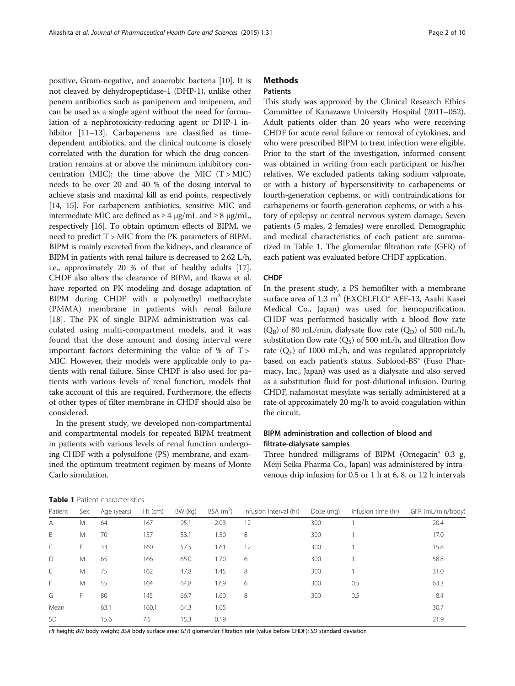<span id="page-1-0"></span>positive, Gram-negative, and anaerobic bacteria [\[10\]](#page-8-0). It is not cleaved by dehydropeptidase-1 (DHP-1), unlike other penem antibiotics such as panipenem and imipenem, and can be used as a single agent without the need for formulation of a nephrotoxicity-reducing agent or DHP-1 in-hibitor [[11](#page-8-0)–[13\]](#page-8-0). Carbapenems are classified as timedependent antibiotics, and the clinical outcome is closely correlated with the duration for which the drug concentration remains at or above the minimum inhibitory concentration (MIC); the time above the MIC  $(T > MIC)$ needs to be over 20 and 40 % of the dosing interval to achieve stasis and maximal kill as end points, respectively [[14](#page-8-0), [15\]](#page-8-0). For carbapenem antibiotics, sensitive MIC and intermediate MIC are defined as  $\geq 4$  μg/mL and  $\geq 8$  μg/mL, respectively [[16](#page-8-0)]. To obtain optimum effects of BIPM, we need to predict T > MIC from the PK parameters of BIPM. BIPM is mainly excreted from the kidneys, and clearance of BIPM in patients with renal failure is decreased to 2.62 L/h, i.e., approximately 20 % of that of healthy adults [\[17](#page-8-0)]. CHDF also alters the clearance of BIPM, and Ikawa et al. have reported on PK modeling and dosage adaptation of BIPM during CHDF with a polymethyl methacrylate (PMMA) membrane in patients with renal failure [[18\]](#page-8-0). The PK of single BIPM administration was calculated using multi-compartment models, and it was found that the dose amount and dosing interval were important factors determining the value of  $%$  of T > MIC. However, their models were applicable only to patients with renal failure. Since CHDF is also used for patients with various levels of renal function, models that take account of this are required. Furthermore, the effects of other types of filter membrane in CHDF should also be considered.

In the present study, we developed non-compartmental and compartmental models for repeated BIPM treatment in patients with various levels of renal function undergoing CHDF with a polysulfone (PS) membrane, and examined the optimum treatment regimen by means of Monte Carlo simulation.

# **Methods**

# Patients

This study was approved by the Clinical Research Ethics Committee of Kanazawa University Hospital (2011–052). Adult patients older than 20 years who were receiving CHDF for acute renal failure or removal of cytokines, and who were prescribed BIPM to treat infection were eligible. Prior to the start of the investigation, informed consent was obtained in writing from each participant or his/her relatives. We excluded patients taking sodium valproate, or with a history of hypersensitivity to carbapenems or fourth-generation cephems, or with contraindications for carbapenems or fourth-generation cephems, or with a history of epilepsy or central nervous system damage. Seven patients (5 males, 2 females) were enrolled. Demographic and medical characteristics of each patient are summarized in Table 1. The glomerular filtration rate (GFR) of each patient was evaluated before CHDF application.

### CHDF

In the present study, a PS hemofilter with a membrane surface area of 1.3  $m<sup>2</sup>$  (EXCELFLO<sup>®</sup> AEF-13, Asahi Kasei Medical Co., Japan) was used for hemopurification. CHDF was performed basically with a blood flow rate ( $Q_B$ ) of 80 mL/min, dialysate flow rate ( $Q_D$ ) of 500 mL/h, substitution flow rate  $(Q<sub>S</sub>)$  of 500 mL/h, and filtration flow rate  $(Q_F)$  of 1000 mL/h, and was regulated appropriately based on each patient's status. Sublood-BS® (Fuso Pharmacy, Inc., Japan) was used as a dialysate and also served as a substitution fluid for post-dilutional infusion. During CHDF, nafamostat mesylate was serially administered at a rate of approximately 20 mg/h to avoid coagulation within the circuit.

# BIPM administration and collection of blood and filtrate-dialysate samples

Three hundred milligrams of BIPM (Omegacin® 0.3 g, Meiji Seika Pharma Co., Japan) was administered by intravenous drip infusion for 0.5 or 1 h at 6, 8, or 12 h intervals

Table 1 Patient characteristics

| Patient   | Sex | Age (years) | $Ht$ (cm) | BW (kg) | BSA $(m^2)$ | Infusion Interval (hr) | Dose (mg) | Infusion time (hr) | GFR (mL/min/body) |
|-----------|-----|-------------|-----------|---------|-------------|------------------------|-----------|--------------------|-------------------|
| A         | M   | 64          | 167       | 95.1    | 2.03        | 12                     | 300       |                    | 20.4              |
| B         | M   | 70          | 157       | 53.1    | 1.50        | 8                      | 300       |                    | 17.0              |
| C         | F.  | 33          | 160       | 57.5    | 1.61        | 12                     | 300       |                    | 15.8              |
| D         | M   | 65          | 166       | 65.0    | 1.70        | 6                      | 300       |                    | 58.8              |
| E         | M   | 75          | 162       | 47.8    | 1.45        | 8                      | 300       |                    | 31.0              |
| F         | M   | 55          | 164       | 64.8    | 1.69        | 6                      | 300       | 0.5                | 63.3              |
| G         | F.  | 80          | 145       | 66.7    | 1.60        | 8                      | 300       | 0.5                | 8.4               |
| Mean      |     | 63.1        | 160.1     | 64.3    | 1.65        |                        |           |                    | 30.7              |
| <b>SD</b> |     | 15.6        | 7.5       | 15.3    | 0.19        |                        |           |                    | 21.9              |

Ht height; BW body weight; BSA body surface area; GFR glomerular filtration rate (value before CHDF); SD standard deviation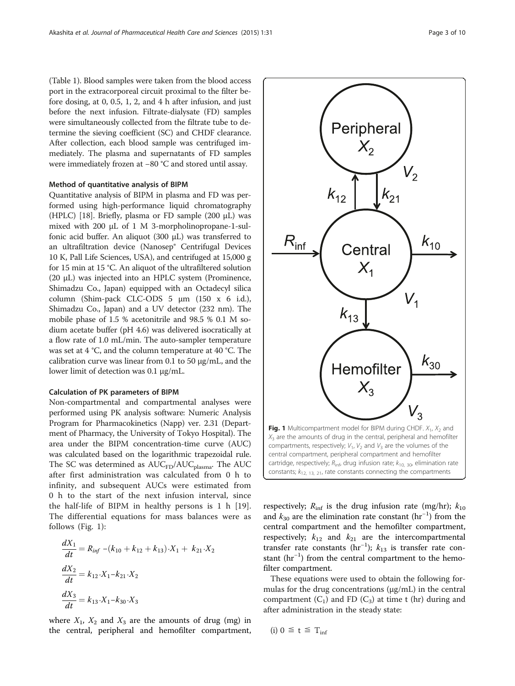(Table [1](#page-1-0)). Blood samples were taken from the blood access port in the extracorporeal circuit proximal to the filter before dosing, at 0, 0.5, 1, 2, and 4 h after infusion, and just before the next infusion. Filtrate-dialysate (FD) samples were simultaneously collected from the filtrate tube to determine the sieving coefficient (SC) and CHDF clearance. After collection, each blood sample was centrifuged immediately. The plasma and supernatants of FD samples were immediately frozen at −80 °C and stored until assay.

### Method of quantitative analysis of BIPM

Quantitative analysis of BIPM in plasma and FD was performed using high-performance liquid chromatography (HPLC) [[18](#page-8-0)]. Briefly, plasma or FD sample (200 μL) was mixed with 200 μL of 1 M 3-morpholinopropane-1-sulfonic acid buffer. An aliquot (300 μL) was transferred to an ultrafiltration device (Nanosep® Centrifugal Devices 10 K, Pall Life Sciences, USA), and centrifuged at 15,000 g for 15 min at 15 °C. An aliquot of the ultrafiltered solution (20 μL) was injected into an HPLC system (Prominence, Shimadzu Co., Japan) equipped with an Octadecyl silica column (Shim-pack CLC-ODS 5 μm (150 x 6 i.d.), Shimadzu Co., Japan) and a UV detector (232 nm). The mobile phase of 1.5 % acetonitrile and 98.5 % 0.1 M sodium acetate buffer (pH 4.6) was delivered isocratically at a flow rate of 1.0 mL/min. The auto-sampler temperature was set at 4 °C, and the column temperature at 40 °C. The calibration curve was linear from 0.1 to 50  $\mu$ g/mL, and the lower limit of detection was 0.1 μg/mL.

### Calculation of PK parameters of BIPM

Non-compartmental and compartmental analyses were performed using PK analysis software: Numeric Analysis Program for Pharmacokinetics (Napp) ver. 2.31 (Department of Pharmacy, the University of Tokyo Hospital). The area under the BIPM concentration-time curve (AUC) was calculated based on the logarithmic trapezoidal rule. The SC was determined as  $AUC<sub>FD</sub>/AUC<sub>plasma</sub>$ . The  $AUC$ after first administration was calculated from 0 h to infinity, and subsequent AUCs were estimated from 0 h to the start of the next infusion interval, since the half-life of BIPM in healthy persons is 1 h [\[19](#page-8-0)]. The differential equations for mass balances were as follows (Fig. 1):

$$
\frac{dX_1}{dt} = R_{inf} - (k_{10} + k_{12} + k_{13}) \cdot X_1 + k_{21} \cdot X_2
$$
  

$$
\frac{dX_2}{dt} = k_{12} \cdot X_1 - k_{21} \cdot X_2
$$
  

$$
\frac{dX_3}{dt} = k_{13} \cdot X_1 - k_{30} \cdot X_3
$$

where  $X_1$ ,  $X_2$  and  $X_3$  are the amounts of drug (mg) in the central, peripheral and hemofilter compartment,



respectively;  $R_{\text{inf}}$  is the drug infusion rate (mg/hr);  $k_{10}$ and  $k_{30}$  are the elimination rate constant (hr<sup>-1</sup>) from the central compartment and the hemofilter compartment, respectively;  $k_{12}$  and  $k_{21}$  are the intercompartmental transfer rate constants (hr<sup>-1</sup>);  $k_{13}$  is transfer rate constant (hr−<sup>1</sup> ) from the central compartment to the hemofilter compartment.

These equations were used to obtain the following formulas for the drug concentrations (μg/mL) in the central compartment  $(C_1)$  and FD  $(C_3)$  at time t (hr) during and after administration in the steady state:

$$
(i) 0 \leq t \leq T_{\inf}
$$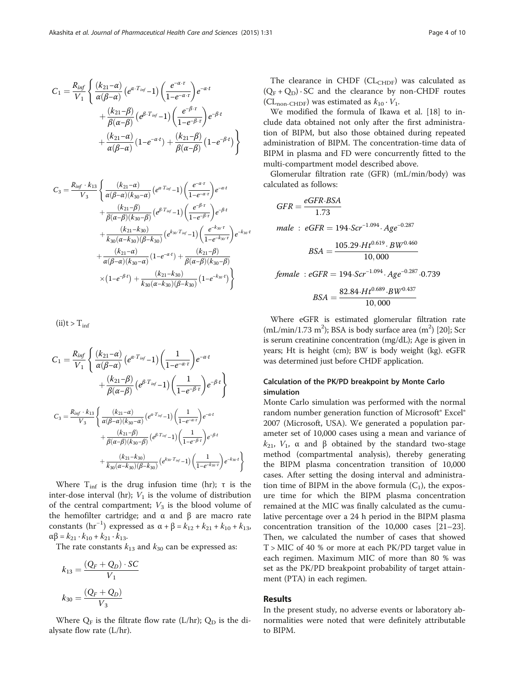$$
C_1 = \frac{R_{inf}}{V_1} \left\{ \frac{(k_{21}-\alpha)}{\alpha(\beta-\alpha)} \left(e^{\alpha \cdot T_{inf}}-1\right) \left(\frac{e^{-\alpha \cdot \tau}}{1-e^{-\alpha \cdot \tau}}\right) e^{-\alpha \cdot t} \right. \\ \left. + \frac{(k_{21}-\beta)}{\beta(\alpha-\beta)} \left(e^{\beta \cdot T_{inf}}-1\right) \left(\frac{e^{-\beta \cdot \tau}}{1-e^{-\beta \cdot \tau}}\right) e^{-\beta \cdot t} \right. \\ \left. + \frac{(k_{21}-\alpha)}{\alpha(\beta-\alpha)} \left(1-e^{-\alpha \cdot t}\right) + \frac{(k_{21}-\beta)}{\beta(\alpha-\beta)} \left(1-e^{-\beta \cdot t}\right) \right\}
$$

$$
C_3 = \frac{R_{inf} \cdot k_{13}}{V_3} \left\{ \frac{(k_{21} - \alpha)}{\alpha(\beta - \alpha)(k_{30} - \alpha)} (e^{\alpha \cdot T_{inf}} - 1) \left( \frac{e^{-\alpha \cdot \tau}}{1 - e^{-\alpha \cdot \tau}} \right) e^{-\alpha \cdot t} \right. \\ \left. + \frac{(k_{21} - \beta)}{\beta(\alpha - \beta)(k_{30} - \beta)} (e^{\beta \cdot T_{inf}} - 1) \left( \frac{e^{-\beta \cdot \tau}}{1 - e^{-\beta \cdot \tau}} \right) e^{-\beta \cdot t} \right. \\ \left. + \frac{(k_{21} - k_{30})}{k_{30}(\alpha - k_{30})(\beta - k_{30})} (e^{k_{30} \cdot T_{inf}} - 1) \left( \frac{e^{-k_{30} \cdot \tau}}{1 - e^{-k_{30} \cdot \tau}} \right) e^{-k_{30} \cdot t} \right. \\ \left. + \frac{(k_{21} - \alpha)}{\alpha(\beta - \alpha)(k_{30} - \alpha)} (1 - e^{-\alpha \cdot t}) + \frac{(k_{21} - \beta)}{\beta(\alpha - \beta)(k_{30} - \beta)} \right\} \\ \times (1 - e^{-\beta \cdot t}) + \frac{(k_{21} - k_{30})}{k_{30}(\alpha - k_{30})(\beta - k_{30})} (1 - e^{-k_{30} \cdot t}) \right\}
$$

 $(ii)t > T_{inf}$ 

$$
C_{1} = \frac{R_{\text{inf}}}{V_{1}} \left\{ \frac{(k_{21} - \alpha)}{\alpha(\beta - \alpha)} \left(e^{\alpha \cdot T_{\text{inf}}} - 1\right) \left(\frac{1}{1 - e^{-\alpha \cdot \tau}}\right) e^{-\alpha \cdot t} + \frac{(k_{21} - \beta)}{\beta(\alpha - \beta)} \left(e^{\beta \cdot T_{\text{inf}}} - 1\right) \left(\frac{1}{1 - e^{-\beta \cdot \tau}}\right) e^{-\beta \cdot t} \right\}
$$
  

$$
C_{3} = \frac{R_{\text{inf}} \cdot k_{13}}{V_{3}} \left\{ \frac{(k_{21} - \alpha)}{\alpha(\beta - \alpha)(k_{30} - \alpha)} \left(e^{\alpha \cdot T_{\text{inf}}} - 1\right) \left(\frac{1}{1 - e^{-\alpha \cdot \tau}}\right) e^{-\alpha \cdot t} + \frac{(k_{21} - \beta)}{\beta(\alpha - \beta)(k_{30} - \beta)} \left(e^{\beta \cdot T_{\text{inf}}} - 1\right) \left(\frac{1}{1 - e^{-\beta \cdot \tau}}\right) e^{-\beta \cdot t} + \frac{(k_{21} - k_{30})}{k_{30}(\alpha - k_{30})(\beta - k_{30})} \left(e^{k_{30} \cdot T_{\text{inf}}} - 1\right) \left(\frac{1}{1 - e^{-k_{30} \cdot \tau}}\right) e^{-k_{30} \cdot t} \right\}
$$

Where  $T_{\text{inf}}$  is the drug infusion time (hr); τ is the inter-dose interval (hr);  $V_1$  is the volume of distribution of the central compartment;  $V_3$  is the blood volume of the hemofilter cartridge; and  $\alpha$  and  $\beta$  are macro rate constants (hr<sup>-1</sup>) expressed as  $\alpha + \beta = k_{12} + k_{21} + k_{10} + k_{13}$ ,  $\alpha\beta = k_{21} \cdot k_{10} + k_{21} \cdot k_{13}$ .

The rate constants  $k_{13}$  and  $k_{30}$  can be expressed as:

$$
k_{13} = \frac{(Q_F + Q_D) \cdot SC}{V_1}
$$

$$
k_{30} = \frac{(Q_F + Q_D)}{V_3}
$$

Where  $Q_F$  is the filtrate flow rate (L/hr);  $Q_D$  is the dialysate flow rate (L/hr).

The clearance in CHDF ( $CL_{CHDF}$ ) was calculated as  $(Q_F + Q_D) \cdot SC$  and the clearance by non-CHDF routes (CL<sub>non-CHDF</sub>) was estimated as  $k_{10} \cdot V_1$ .

We modified the formula of Ikawa et al. [[18](#page-8-0)] to include data obtained not only after the first administration of BIPM, but also those obtained during repeated administration of BIPM. The concentration-time data of BIPM in plasma and FD were concurrently fitted to the multi-compartment model described above.

Glomerular filtration rate (GFR) (mL/min/body) was calculated as follows:

$$
GFR = \frac{eGFR \cdot BSA}{1.73}
$$
  
male :  $eGFR = 194 \cdot Scr^{-1.094} \cdot Age^{-0.287}$   

$$
BSA = \frac{105.29 \cdot Ht^{0.619} \cdot BW^{0.460}}{10,000}
$$
  
female :  $eGFR = 194 \cdot Scr^{-1.094} \cdot Age^{-0.287} \cdot 0.739$   

$$
BSA = \frac{82.84 \cdot Ht^{0.689} \cdot BW^{0.437}}{10,000}
$$

Where eGFR is estimated glomerular filtration rate  $(mL/min/1.73 m<sup>2</sup>)$ ; BSA is body surface area  $(m<sup>2</sup>)$  [\[20\]](#page-8-0); Scr is serum creatinine concentration (mg/dL); Age is given in years; Ht is height (cm); BW is body weight (kg). eGFR was determined just before CHDF application.

### Calculation of the PK/PD breakpoint by Monte Carlo simulation

Monte Carlo simulation was performed with the normal random number generation function of Microsoft® Excel® 2007 (Microsoft, USA). We generated a population parameter set of 10,000 cases using a mean and variance of  $k_{21}$ ,  $V_1$ , α and β obtained by the standard two-stage method (compartmental analysis), thereby generating the BIPM plasma concentration transition of 10,000 cases. After setting the dosing interval and administration time of BIPM in the above formula  $(C_1)$ , the exposure time for which the BIPM plasma concentration remained at the MIC was finally calculated as the cumulative percentage over a 24 h period in the BIPM plasma concentration transition of the 10,000 cases [[21](#page-8-0)–[23](#page-9-0)]. Then, we calculated the number of cases that showed T > MIC of 40 % or more at each PK/PD target value in each regimen. Maximum MIC of more than 80 % was set as the PK/PD breakpoint probability of target attainment (PTA) in each regimen.

### Results

In the present study, no adverse events or laboratory abnormalities were noted that were definitely attributable to BIPM.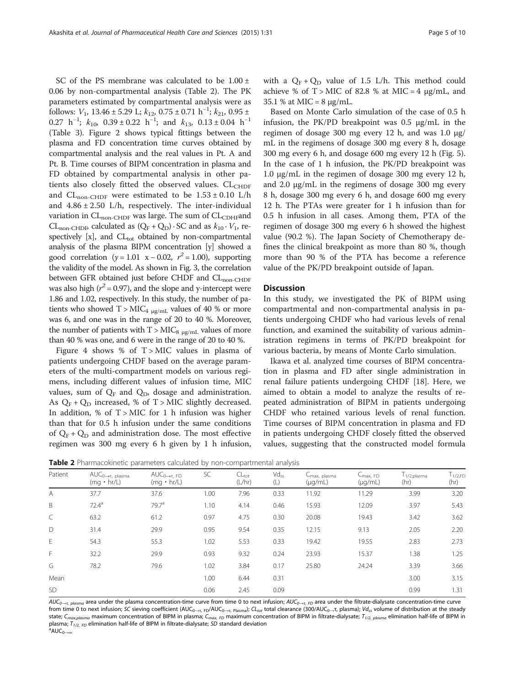SC of the PS membrane was calculated to be  $1.00 \pm$ 0.06 by non-compartmental analysis (Table 2). The PK parameters estimated by compartmental analysis were as follows:  $V_1$ , 13.46 ± 5.29 L;  $k_{12}$ , 0.75 ± 0.71 h<sup>-1</sup>;  $k_{21}$ , 0.95 ± 0.27 h<sup>-1</sup>;  $k_{10}$ , 0.39 ± 0.22 h<sup>-1</sup>; and  $k_{13}$ , 0.13 ± 0.04 h<sup>-1</sup> (Table [3](#page-5-0)). Figure [2](#page-5-0) shows typical fittings between the plasma and FD concentration time curves obtained by compartmental analysis and the real values in Pt. A and Pt. B. Time courses of BIPM concentration in plasma and FD obtained by compartmental analysis in other patients also closely fitted the observed values.  $CL_{CHDF}$ and  $CL_{\text{non-CHDF}}$  were estimated to be  $1.53 \pm 0.10$  L/h and  $4.86 \pm 2.50$  L/h, respectively. The inter-individual variation in  $CL_{non-CHDF}$  was large. The sum of  $CL_{CDHF}$ and CL<sub>non-CHDF</sub> calculated as  $(Q_F + Q_D) \cdot SC$  and as  $k_{10} \cdot V_1$ , respectively  $[x]$ , and  $CL_{tot}$  obtained by non-compartmental analysis of the plasma BIPM concentration [y] showed a good correlation ( $y = 1.01$  x – 0.02,  $r^2 = 1.00$ ), supporting the validity of the model. As shown in Fig. [3](#page-6-0), the correlation between GFR obtained just before CHDF and CL<sub>non-CHDF</sub> was also high ( $r^2$  = 0.97), and the slope and y-intercept were 1.86 and 1.02, respectively. In this study, the number of patients who showed  $T > MIC_{4 \mu g/mL}$  values of 40 % or more was 6, and one was in the range of 20 to 40 %. Moreover, the number of patients with  $T > MIC_{8\mu g/mL}$  values of more than 40 % was one, and 6 were in the range of 20 to 40 %.

Figure [4](#page-6-0) shows % of  $T >$  MIC values in plasma of patients undergoing CHDF based on the average parameters of the multi-compartment models on various regimens, including different values of infusion time, MIC values, sum of  $Q_F$  and  $Q_D$ , dosage and administration. As  $Q_F + Q_D$  increased, % of T > MIC slightly decreased. In addition, % of  $T > MIC$  for 1 h infusion was higher than that for 0.5 h infusion under the same conditions of  $Q_F + Q_D$  and administration dose. The most effective regimen was 300 mg every 6 h given by 1 h infusion,

with a  $Q_F + Q_D$  value of 1.5 L/h. This method could achieve % of  $T >$  MIC of 82.8 % at MIC = 4  $\mu$ g/mL, and 35.1 % at MIC =  $8 \mu g/mL$ .

Based on Monte Carlo simulation of the case of 0.5 h infusion, the PK/PD breakpoint was 0.5 μg/mL in the regimen of dosage 300 mg every 12 h, and was 1.0 μg/ mL in the regimens of dosage 300 mg every 8 h, dosage 300 mg every 6 h, and dosage 600 mg every 12 h (Fig. [5](#page-7-0)). In the case of 1 h infusion, the PK/PD breakpoint was 1.0 μg/mL in the regimen of dosage 300 mg every 12 h, and 2.0 μg/mL in the regimens of dosage 300 mg every 8 h, dosage 300 mg every 6 h, and dosage 600 mg every 12 h. The PTAs were greater for 1 h infusion than for 0.5 h infusion in all cases. Among them, PTA of the regimen of dosage 300 mg every 6 h showed the highest value (90.2 %). The Japan Society of Chemotherapy defines the clinical breakpoint as more than 80 %, though more than 90 % of the PTA has become a reference value of the PK/PD breakpoint outside of Japan.

### **Discussion**

In this study, we investigated the PK of BIPM using compartmental and non-compartmental analysis in patients undergoing CHDF who had various levels of renal function, and examined the suitability of various administration regimens in terms of PK/PD breakpoint for various bacteria, by means of Monte Carlo simulation.

Ikawa et al. analyzed time courses of BIPM concentration in plasma and FD after single administration in renal failure patients undergoing CHDF [\[18](#page-8-0)]. Here, we aimed to obtain a model to analyze the results of repeated administration of BIPM in patients undergoing CHDF who retained various levels of renal function. Time courses of BIPM concentration in plasma and FD in patients undergoing CHDF closely fitted the observed values, suggesting that the constructed model formula

| Patient      | $\mathsf{AUC}_{0\longrightarrow\tau,\ \mathsf{plasma}}$<br>$(mq \cdot hr/L)$ | $AUC_{0\rightarrow\tau, FD}$<br>$(mq \cdot hr/L)$ | SC   | $CL_{tot}$<br>(L/hr) | $Vd_{ss}$<br>(L) | ∟ <sub>max, plasma</sub><br>$(\mu q/mL)$ | $C_{\text{max}}$ , FD<br>$(\mu q/mL)$ | $\Gamma_{1/2,\mathrm{plasma}}$<br>(hr) | $T_{1/2,FD}$<br>(hr) |
|--------------|------------------------------------------------------------------------------|---------------------------------------------------|------|----------------------|------------------|------------------------------------------|---------------------------------------|----------------------------------------|----------------------|
| A            | 37.7                                                                         | 37.6                                              | 1.00 | 7.96                 | 0.33             | 11.92                                    | 11.29                                 | 3.99                                   | 3.20                 |
| B            | $72.4^a$                                                                     | 79.7 <sup>a</sup>                                 | 1.10 | 4.14                 | 0.46             | 15.93                                    | 12.09                                 | 3.97                                   | 5.43                 |
| $\mathsf{C}$ | 63.2                                                                         | 61.2                                              | 0.97 | 4.75                 | 0.30             | 20.08                                    | 19.43                                 | 3.42                                   | 3.62                 |
| D            | 31.4                                                                         | 29.9                                              | 0.95 | 9.54                 | 0.35             | 12.15                                    | 9.13                                  | 2.05                                   | 2.20                 |
| E            | 54.3                                                                         | 55.3                                              | 1.02 | 5.53                 | 0.33             | 19.42                                    | 19.55                                 | 2.83                                   | 2.73                 |
| $\mathsf{F}$ | 32.2                                                                         | 29.9                                              | 0.93 | 9.32                 | 0.24             | 23.93                                    | 15.37                                 | 1.38                                   | 1.25                 |
| G            | 78.2                                                                         | 79.6                                              | 1.02 | 3.84                 | 0.17             | 25.80                                    | 24.24                                 | 3.39                                   | 3.66                 |
| Mean         |                                                                              |                                                   | 1.00 | 6.44                 | 0.31             |                                          |                                       | 3.00                                   | 3.15                 |
| SD           |                                                                              |                                                   | 0.06 | 2.45                 | 0.09             |                                          |                                       | 0.99                                   | 1.31                 |

Table 2 Pharmacokinetic parameters calculated by non-compartmental analysis

 $AUC_{O\rightarrow\tau,~p}$  plasma area under the plasma concentration-time curve from time 0 to next infusion;  $AUC_{O\rightarrow\tau,~FD}$  area under the filtrate-dialysate concentration-time curve from time 0 to next infusion; SC sieving coefficient (AUC<sub>0→τ, FD</sub>/AUC<sub>0→τ, Plasma); CL<sub>tot</sub> total clearance (300/AUC<sub>0→</sub>τ, plasma); Vd<sub>ss</sub> volume of distribution at the steady</sub> state; C<sub>max,plasma</sub> maximum concentration of BIPM in plasma; C<sub>max, FD</sub> maximum concentration of BIPM in filtrate-dialysate; T<sub>1/2, plasma</sub> elimination half-life of BIPM in plasma;  $T_{1/2, FD}$  elimination half-life of BIPM in filtrate-dialysate; SD standard deviation <sup>a</sup>AUC<sub>0→∞</sub>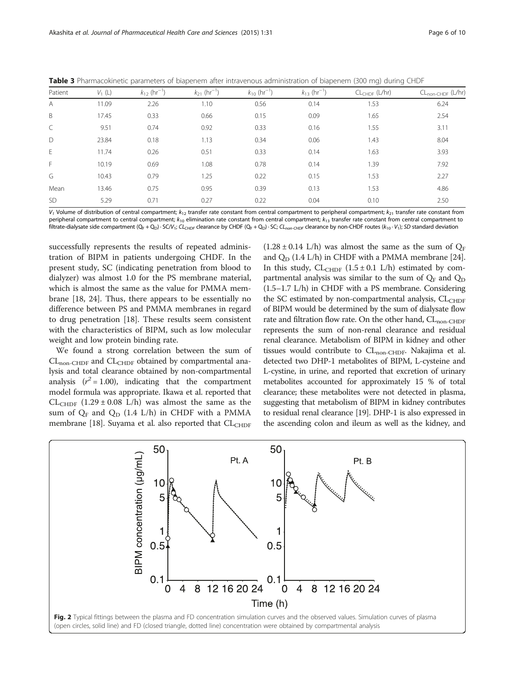| Patient   | $V_1(L)$ | $k_{12}$ (hr <sup>-1</sup> ) | $k_{21}$ (hr <sup>-1</sup> ) | $k_{10}$ (hr <sup>-1</sup> ) | $k_{13}$ (hr <sup>-1</sup> ) | $CL_{CHDF}$ (L/hr) | $CL_{\text{non-CHDF}} (L/hr)$ |
|-----------|----------|------------------------------|------------------------------|------------------------------|------------------------------|--------------------|-------------------------------|
| A         | 11.09    | 2.26                         | 1.10                         | 0.56                         | 0.14                         | 1.53               | 6.24                          |
| B         | 17.45    | 0.33                         | 0.66                         | 0.15                         | 0.09                         | 1.65               | 2.54                          |
| C         | 9.51     | 0.74                         | 0.92                         | 0.33                         | 0.16                         | 1.55               | 3.11                          |
| D         | 23.84    | 0.18                         | 1.13                         | 0.34                         | 0.06                         | 1.43               | 8.04                          |
| E         | 11.74    | 0.26                         | 0.51                         | 0.33                         | 0.14                         | 1.63               | 3.93                          |
| F         | 10.19    | 0.69                         | 1.08                         | 0.78                         | 0.14                         | 1.39               | 7.92                          |
| G         | 10.43    | 0.79                         | 1.25                         | 0.22                         | 0.15                         | 1.53               | 2.27                          |
| Mean      | 13.46    | 0.75                         | 0.95                         | 0.39                         | 0.13                         | 1.53               | 4.86                          |
| <b>SD</b> | 5.29     | 0.71                         | 0.27                         | 0.22                         | 0.04                         | 0.10               | 2.50                          |

<span id="page-5-0"></span>Table 3 Pharmacokinetic parameters of biapenem after intravenous administration of biapenem (300 mg) during CHDF

 $V_1$  Volume of distribution of central compartment;  $k_{12}$  transfer rate constant from central compartment to peripheral compartment;  $k_{21}$  transfer rate constant from peripheral compartment to central compartment;  $k_{10}$  elimination rate constant from central compartment;  $k_{13}$  transfer rate constant from central compartment to filtrate-dialysate side compartment  $(Q_F + Q_D) \cdot SC/V_1$ ; CL<sub>CHDF</sub> clearance by CHDF ( $Q_F + Q_D$ )  $\cdot SC$ ; CL<sub>non-CHDF</sub> clearance by non-CHDF routes (k<sub>10</sub> · V<sub>1</sub>); SD standard deviation

successfully represents the results of repeated administration of BIPM in patients undergoing CHDF. In the present study, SC (indicating penetration from blood to dialyzer) was almost 1.0 for the PS membrane material, which is almost the same as the value for PMMA membrane [[18,](#page-8-0) [24\]](#page-9-0). Thus, there appears to be essentially no difference between PS and PMMA membranes in regard to drug penetration [\[18\]](#page-8-0). These results seem consistent with the characteristics of BIPM, such as low molecular weight and low protein binding rate.

We found a strong correlation between the sum of  $CL$ <sub>non-CHDF</sub> and  $CL$ <sub>CHDF</sub> obtained by compartmental analysis and total clearance obtained by non-compartmental analysis  $(r^2 = 1.00)$ , indicating that the compartment model formula was appropriate. Ikawa et al. reported that  $CL_{CHDF}$  (1.29 ± 0.08 L/h) was almost the same as the sum of  $Q_F$  and  $Q_D$  (1.4 L/h) in CHDF with a PMMA membrane [\[18](#page-8-0)]. Suyama et al. also reported that CL<sub>CHDF</sub>  $(1.28 \pm 0.14 \text{ L/h})$  was almost the same as the sum of  $Q_F$ and  $Q_D$  (1.4 L/h) in CHDF with a PMMA membrane [[24](#page-9-0)]. In this study,  $CL_{CHDF}$  (1.5 ± 0.1 L/h) estimated by compartmental analysis was similar to the sum of  $Q_F$  and  $Q_D$ (1.5–1.7 L/h) in CHDF with a PS membrane. Considering the SC estimated by non-compartmental analysis,  $CL<sub>CHDE</sub>$ of BIPM would be determined by the sum of dialysate flow rate and filtration flow rate. On the other hand,  $CL_{\text{non-CHDF}}$ represents the sum of non-renal clearance and residual renal clearance. Metabolism of BIPM in kidney and other tissues would contribute to CL<sub>non-CHDF</sub>. Nakajima et al. detected two DHP-1 metabolites of BIPM, L-cysteine and L-cystine, in urine, and reported that excretion of urinary metabolites accounted for approximately 15 % of total clearance; these metabolites were not detected in plasma, suggesting that metabolism of BIPM in kidney contributes to residual renal clearance [\[19\]](#page-8-0). DHP-1 is also expressed in the ascending colon and ileum as well as the kidney, and

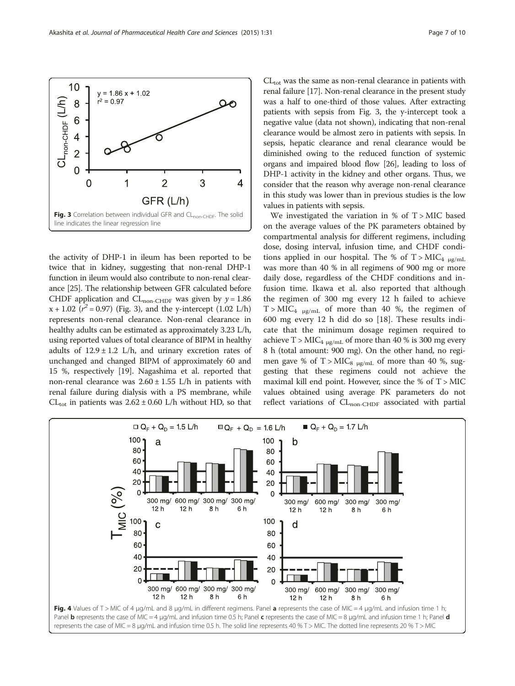the activity of DHP-1 in ileum has been reported to be twice that in kidney, suggesting that non-renal DHP-1 function in ileum would also contribute to non-renal clearance [[25](#page-9-0)]. The relationship between GFR calculated before CHDF application and CL<sub>non-CHDF</sub> was given by  $y = 1.86$  $x + 1.02$  ( $r^2 = 0.97$ ) (Fig. 3), and the y-intercept (1.02 L/h) represents non-renal clearance. Non-renal clearance in healthy adults can be estimated as approximately 3.23 L/h, using reported values of total clearance of BIPM in healthy adults of  $12.9 \pm 1.2$  L/h, and urinary excretion rates of unchanged and changed BIPM of approximately 60 and 15 %, respectively [[19](#page-8-0)]. Nagashima et al. reported that non-renal clearance was  $2.60 \pm 1.55$  L/h in patients with renal failure during dialysis with a PS membrane, while CL<sub>tot</sub> in patients was  $2.62 \pm 0.60$  L/h without HD, so that

 $CL_{tot}$  was the same as non-renal clearance in patients with renal failure [\[17\]](#page-8-0). Non-renal clearance in the present study was a half to one-third of those values. After extracting patients with sepsis from Fig. 3, the y-intercept took a negative value (data not shown), indicating that non-renal clearance would be almost zero in patients with sepsis. In sepsis, hepatic clearance and renal clearance would be diminished owing to the reduced function of systemic organs and impaired blood flow [[26](#page-9-0)], leading to loss of DHP-1 activity in the kidney and other organs. Thus, we consider that the reason why average non-renal clearance in this study was lower than in previous studies is the low values in patients with sepsis.

We investigated the variation in % of  $T > MIC$  based on the average values of the PK parameters obtained by compartmental analysis for different regimens, including dose, dosing interval, infusion time, and CHDF conditions applied in our hospital. The % of  $T > MIC<sub>4 µg/mL</sub>$ was more than 40 % in all regimens of 900 mg or more daily dose, regardless of the CHDF conditions and infusion time. Ikawa et al. also reported that although the regimen of 300 mg every 12 h failed to achieve  $T > MIC_{4 \mu g/mL}$  of more than 40 %, the regimen of 600 mg every 12 h did do so [[18\]](#page-8-0). These results indicate that the minimum dosage regimen required to achieve T >  $MIC_{4\mu g/mL}$  of more than 40 % is 300 mg every 8 h (total amount: 900 mg). On the other hand, no regimen gave % of T >  $MIC_8$  <sub>µg/mL</sub> of more than 40 %, suggesting that these regimens could not achieve the maximal kill end point. However, since the  $%$  of T > MIC values obtained using average PK parameters do not reflect variations of  $CL_{non-CHDF}$  associated with partial



<span id="page-6-0"></span>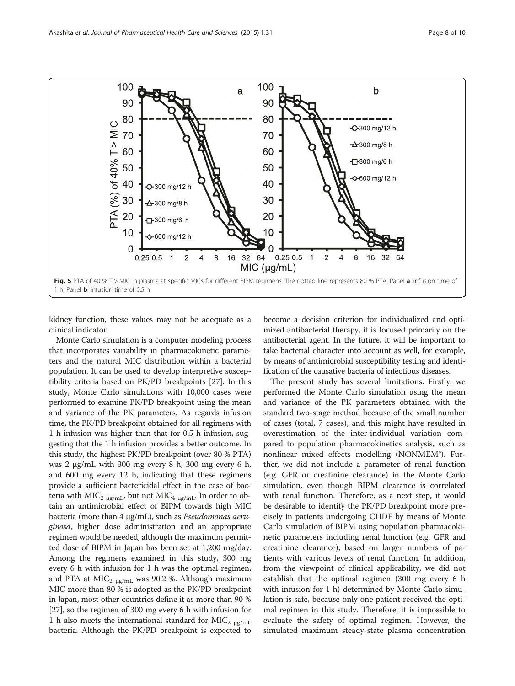<span id="page-7-0"></span>

kidney function, these values may not be adequate as a clinical indicator.

Monte Carlo simulation is a computer modeling process that incorporates variability in pharmacokinetic parameters and the natural MIC distribution within a bacterial population. It can be used to develop interpretive susceptibility criteria based on PK/PD breakpoints [[27](#page-9-0)]. In this study, Monte Carlo simulations with 10,000 cases were performed to examine PK/PD breakpoint using the mean and variance of the PK parameters. As regards infusion time, the PK/PD breakpoint obtained for all regimens with 1 h infusion was higher than that for 0.5 h infusion, suggesting that the 1 h infusion provides a better outcome. In this study, the highest PK/PD breakpoint (over 80 % PTA) was 2 μg/mL with 300 mg every 8 h, 300 mg every 6 h, and 600 mg every 12 h, indicating that these regimens provide a sufficient bactericidal effect in the case of bacteria with MIC<sub>2 μg/mL</sub>, but not MIC<sub>4 μg/mL</sub>. In order to obtain an antimicrobial effect of BIPM towards high MIC bacteria (more than 4 μg/mL), such as Pseudomonas aeruginosa, higher dose administration and an appropriate regimen would be needed, although the maximum permitted dose of BIPM in Japan has been set at 1,200 mg/day. Among the regimens examined in this study, 300 mg every 6 h with infusion for 1 h was the optimal regimen, and PTA at MIC<sub>2</sub>  $_{\mu$ g/mL was 90.2 %. Although maximum MIC more than 80 % is adopted as the PK/PD breakpoint in Japan, most other countries define it as more than 90 % [[27](#page-9-0)], so the regimen of 300 mg every 6 h with infusion for 1 h also meets the international standard for MIC<sub>2</sub>  $_{\mu$ g/mL bacteria. Although the PK/PD breakpoint is expected to

become a decision criterion for individualized and optimized antibacterial therapy, it is focused primarily on the antibacterial agent. In the future, it will be important to take bacterial character into account as well, for example, by means of antimicrobial susceptibility testing and identification of the causative bacteria of infectious diseases.

The present study has several limitations. Firstly, we performed the Monte Carlo simulation using the mean and variance of the PK parameters obtained with the standard two-stage method because of the small number of cases (total, 7 cases), and this might have resulted in overestimation of the inter-individual variation compared to population pharmacokinetics analysis, such as nonlinear mixed effects modelling (NONMEM®). Further, we did not include a parameter of renal function (e.g. GFR or creatinine clearance) in the Monte Carlo simulation, even though BIPM clearance is correlated with renal function. Therefore, as a next step, it would be desirable to identify the PK/PD breakpoint more precisely in patients undergoing CHDF by means of Monte Carlo simulation of BIPM using population pharmacokinetic parameters including renal function (e.g. GFR and creatinine clearance), based on larger numbers of patients with various levels of renal function. In addition, from the viewpoint of clinical applicability, we did not establish that the optimal regimen (300 mg every 6 h with infusion for 1 h) determined by Monte Carlo simulation is safe, because only one patient received the optimal regimen in this study. Therefore, it is impossible to evaluate the safety of optimal regimen. However, the simulated maximum steady-state plasma concentration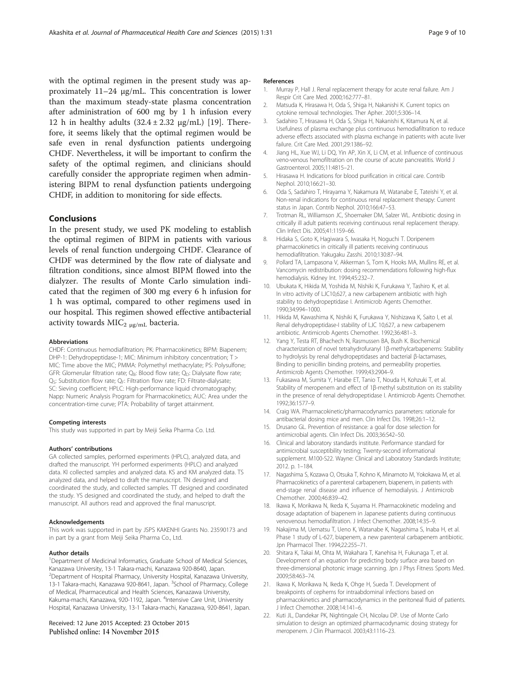<span id="page-8-0"></span>with the optimal regimen in the present study was approximately 11–24 μg/mL. This concentration is lower than the maximum steady-state plasma concentration after administration of 600 mg by 1 h infusion every 12 h in healthy adults  $(32.4 \pm 2.32 \text{ µg/mL})$  [19]. Therefore, it seems likely that the optimal regimen would be safe even in renal dysfunction patients undergoing CHDF. Nevertheless, it will be important to confirm the safety of the optimal regimen, and clinicians should carefully consider the appropriate regimen when administering BIPM to renal dysfunction patients undergoing CHDF, in addition to monitoring for side effects.

### **Conclusions**

In the present study, we used PK modeling to establish the optimal regimen of BIPM in patients with various levels of renal function undergoing CHDF. Clearance of CHDF was determined by the flow rate of dialysate and filtration conditions, since almost BIPM flowed into the dialyzer. The results of Monte Carlo simulation indicated that the regimen of 300 mg every 6 h infusion for 1 h was optimal, compared to other regimens used in our hospital. This regimen showed effective antibacterial activity towards  $MIC<sub>2 µg/mL</sub>$  bacteria.

#### Abbreviations

CHDF: Continuous hemodiafiltration; PK: Pharmacokinetics; BIPM: Biapenem; DHP-1: Dehydropeptidase-1; MIC: Minimum inhibitory concentration; T > MIC: Time above the MIC; PMMA: Polymethyl methacrylate; PS: Polysulfone; GFR: Glomerular filtration rate;  $Q_B$ : Blood flow rate;  $Q_D$ : Dialysate flow rate;  $Q<sub>S</sub>$ : Substitution flow rate;  $Q<sub>F</sub>$ : Filtration flow rate; FD: Filtrate-dialysate; SC: Sieving coefficient; HPLC: High-performance liquid chromatography; Napp: Numeric Analysis Program for Pharmacokinetics; AUC: Area under the concentration-time curve; PTA: Probability of target attainment.

#### Competing interests

This study was supported in part by Meiji Seika Pharma Co. Ltd.

#### Authors' contributions

GA collected samples, performed experiments (HPLC), analyzed data, and drafted the manuscript. YH performed experiments (HPLC) and analyzed data. KI collected samples and analyzed data. KS and KM analyzed data. TS analyzed data, and helped to draft the manuscript. TN designed and coordinated the study, and collected samples. TT designed and coordinated the study. YS designed and coordinated the study, and helped to draft the manuscript. All authors read and approved the final manuscript.

#### Acknowledgements

This work was supported in part by JSPS KAKENHI Grants No. 23590173 and in part by a grant from Meiji Seika Pharma Co., Ltd.

### Author details

<sup>1</sup>Department of Medicinal Informatics, Graduate School of Medical Sciences, Kanazawa University, 13-1 Takara-machi, Kanazawa 920-8640, Japan. 2 Department of Hospital Pharmacy, University Hospital, Kanazawa University, 13-1 Takara-machi, Kanazawa 920-8641, Japan. <sup>3</sup>School of Pharmacy, College of Medical, Pharmaceutical and Health Sciences, Kanazawa University, Kakuma-machi, Kanazawa, 920-1192, Japan. <sup>4</sup>Intensive Care Unit, University Hospital, Kanazawa University, 13-1 Takara-machi, Kanazawa, 920-8641, Japan.

#### Received: 12 June 2015 Accepted: 23 October 2015 Published online: 14 November 2015

#### References

- 1. Murray P, Hall J. Renal replacement therapy for acute renal failure. Am J Respir Crit Care Med. 2000;162:777–81.
- 2. Matsuda K, Hirasawa H, Oda S, Shiga H, Nakanishi K. Current topics on cytokine removal technologies. Ther Apher. 2001;5:306–14.
- 3. Sadahiro T, Hirasawa H, Oda S, Shiga H, Nakanishi K, Kitamura N, et al. Usefulness of plasma exchange plus continuous hemodiafiltration to reduce adverse effects associated with plasma exchange in patients with acute liver failure. Crit Care Med. 2001;29:1386–92.
- 4. Jiang HL, Xue WJ, Li DQ, Yin AP, Xin X, Li CM, et al. Influence of continuous veno-venous hemofiltration on the course of acute pancreatitis. World J Gastroenterol. 2005;11:4815–21.
- 5. Hirasawa H. Indications for blood purification in critical care. Contrib Nephol. 2010;166:21–30.
- 6. Oda S, Sadahiro T, Hirayama Y, Nakamura M, Watanabe E, Tateishi Y, et al. Non-renal indications for continuous renal replacement therapy: Current status in Japan. Contrib Nephol. 2010;166:47–53.
- 7. Trotman RL, Williamson JC, Shoemaker DM, Salzer WL. Antibiotic dosing in critically ill adult patients receiving continuous renal replacement therapy. Clin Infect Dis. 2005;41:1159–66.
- 8. Hidaka S, Goto K, Hagiwara S, Iwasaka H, Noguchi T. Doripenem pharmacokinetics in critically ill patients receiving continuous hemodiafiltration. Yakugaku Zasshi. 2010;130:87–94.
- 9. Pollard TA, Lampasona V, Akkerman S, Tom K, Hooks MA, Mullins RE, et al. Vancomycin redistribution: dosing recommendations following high-flux hemodialysis. Kidney Int. 1994;45:232–7.
- 10. Ubukata K, Hikida M, Yoshida M, Nishiki K, Furukawa Y, Tashiro K, et al. In vitro activity of LJC10,627, a new carbapenem antibiotic with high stability to dehydropeptidase I. Antimicrob Agents Chemother. 1990;34:994–1000.
- 11. Hikida M, Kawashima K, Nishiki K, Furukawa Y, Nishizawa K, Saito I, et al. Renal dehydropeptidase-I stability of LJC 10,627, a new carbapenem antibiotic. Antimicrob Agents Chemother. 1992;36:481–3.
- 12. Yang Y, Testa RT, Bhachech N, Rasmussen BA, Bush K. Biochemical characterization of novel tetrahydrofuranyl 1β-methylcarbapenems: Stability to hydrolysis by renal dehydropeptidases and bacterial β-lactamases, Binding to penicillin binding proteins, and permeability properties. Antimicrob Agents Chemother. 1999;43:2904–9.
- 13. Fukasawa M, Sumita Y, Harabe ET, Tanio T, Nouda H, Kohzuki T, et al. Stability of meropenem and effect of 1β-methyl substitution on its stability in the presence of renal dehydropeptidase I. Antimicrob Agents Chemother. 1992;36:1577–9.
- 14. Craig WA. Pharmacokinetic/pharmacodynamics parameters: rationale for antibacterial dosing mice and men. Clin Infect Dis. 1998;26:1–12.
- 15. Drusano GL. Prevention of resistance: a goal for dose selection for antimicrobial agents. Clin Infect Dis. 2003;36:S42–50.
- 16. Clinical and laboratory standards institute. Performance standard for antimicrobial susceptibility testing; Twenty-second informational supplement. M100-S22. Wayne: Clinical and Laboratory Standards Institute; 2012. p. 1–184.
- 17. Nagashima S, Kozawa O, Otsuka T, Kohno K, Minamoto M, Yokokawa M, et al. Pharmacokinetics of a parenteral carbapenem, biapenem, in patients with end-stage renal disease and influence of hemodialysis. J Antimicrob Chemother. 2000;46:839–42.
- 18. Ikawa K, Morikawa N, Ikeda K, Suyama H. Pharmacokinetic modeling and dosage adaptation of biapenem in Japanese patients during continuous venovenous hemodiafiltration. J Infect Chemother. 2008;14:35–9.
- 19. Nakajima M, Uematsu T, Ueno K, Watanabe K, Nagashima S, Inaba H, et al. Phase 1 study of L-627, biapenem, a new parenteral carbapenem antibiotic. Jpn Pharmacol Ther. 1994;22:255–71.
- 20. Shitara K, Takai M, Ohta M, Wakahara T, Kanehisa H, Fukunaga T, et al. Development of an equation for predicting body surface area based on three-dimensional photonic image scanning. Jpn J Phys Fitness Sports Med. 2009;58:463–74.
- 21. Ikawa K, Morikawa N, Ikeda K, Ohge H, Sueda T. Development of breakpoints of cephems for intraabdominal infections based on pharmacokinetics and pharmacodynamics in the peritoneal fluid of patients. J Infect Chemother. 2008;14:141–6.
- 22. Kuti JL, Dandekar PK, Nightingale CH, Nicolau DP. Use of Monte Carlo simulation to design an optimized pharmacodynamic dosing strategy for meropenem. J Clin Pharmacol. 2003;43:1116–23.